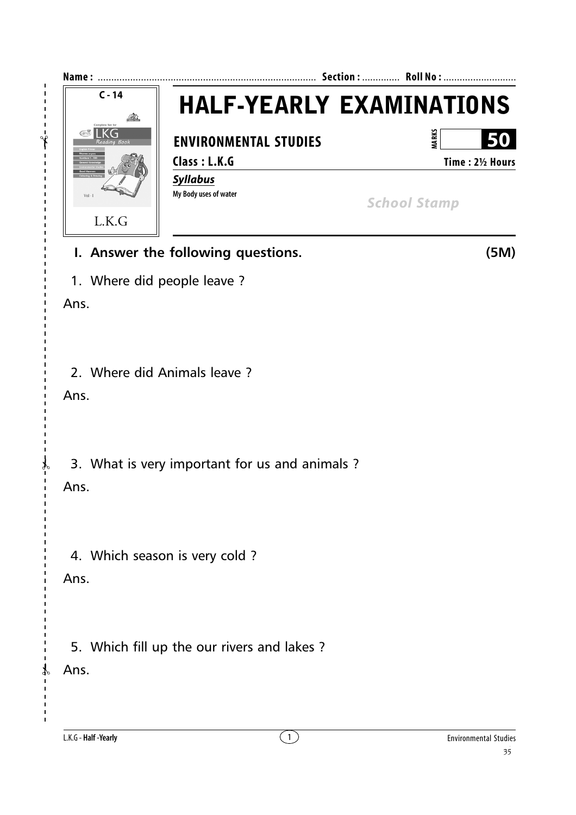

## **I. Answer the following questions. (5M)**

1. Where did people leave ?

Ans.

 $- - - -$ 

 $\overline{1}$  $\overline{1}$  $\overline{1}$ 

2. Where did Animals leave ?

Ans.

3. What is very important for us and animals ?

Ans.

✃

4. Which season is very cold ?

Ans.

5. Which fill up the our rivers and lakes ?

Ans.

 $\mathcal{X}$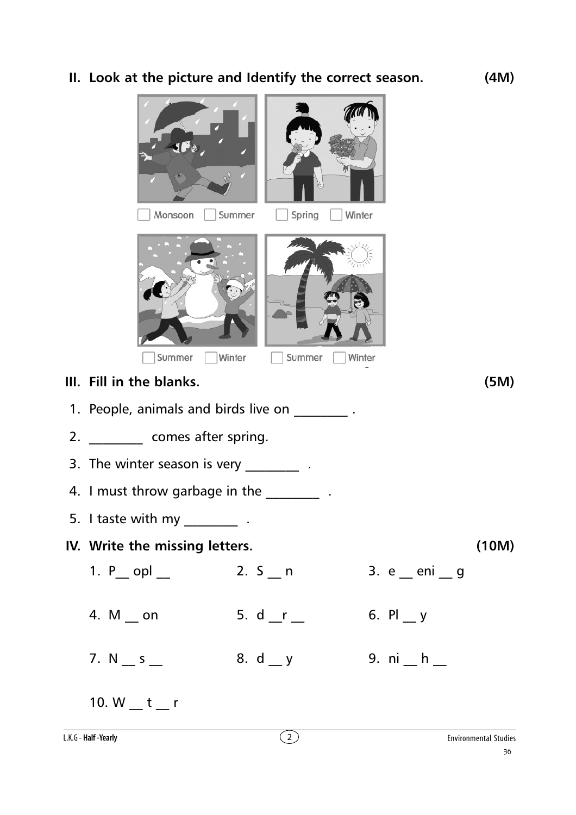## **II. Look at the picture and Identify the correct season. (4M)**

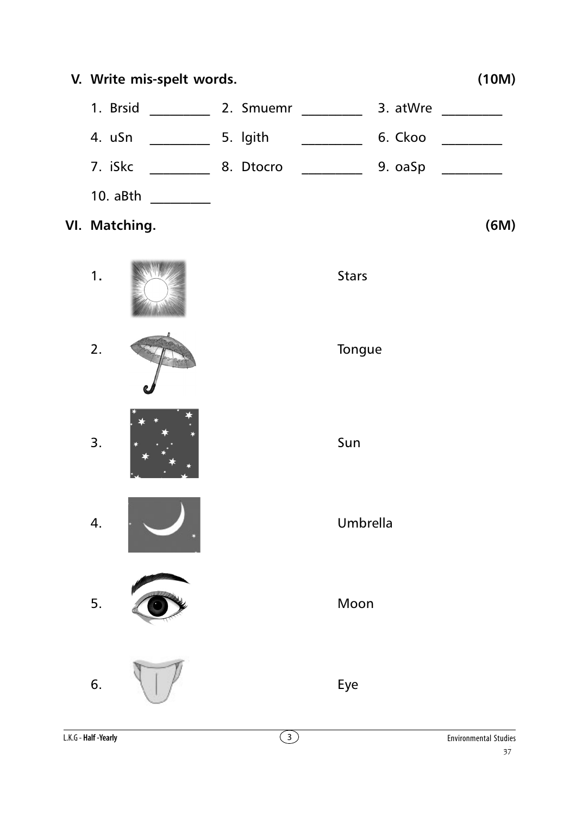